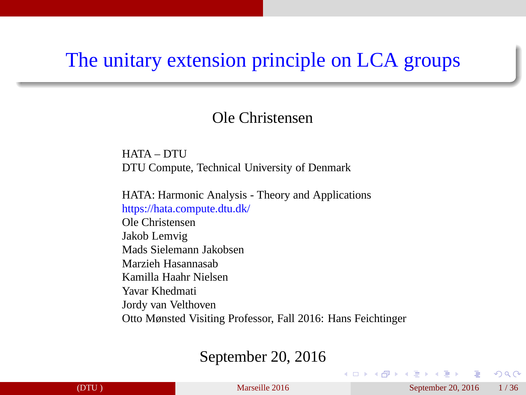#### Ole Christensen

<span id="page-0-0"></span>HATA – DTU DTU Compute, Technical University of Denmark

HATA: Harmonic Analysis - Theory and Applications https://hata.compute.dtu.dk/ Ole Christensen Jakob Lemvig Mads Sielemann Jakobsen Marzieh Hasannasab Kamilla Haahr Nielsen Yavar Khedmati Jordy van Velthoven Otto Mønsted Visiting Professor, Fall 2016: Hans Feichtinger

#### September 20, 2016

(□ ) (何 ) (□ ) (□ )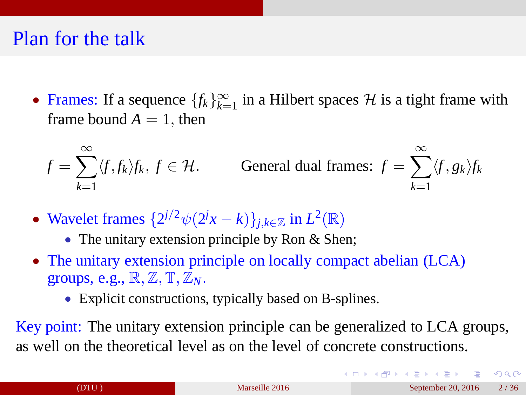#### Plan for the talk

• Frames: If a sequence  $\{f_k\}_{k=1}^{\infty}$  in a Hilbert spaces H is a tight frame with frame bound  $A = 1$ , then

$$
f = \sum_{k=1}^{\infty} \langle f, f_k \rangle f_k, \, f \in \mathcal{H}.
$$
 General dual frames:  $f = \sum_{k=1}^{\infty} \langle f, g_k \rangle f_k$ 

- Wavelet frames  $\{2^{j/2}\psi(2^jx k)\}_{j,k \in \mathbb{Z}}$  in  $L^2(\mathbb{R})$ 
	- The unitary extension principle by Ron & Shen;
- The unitary extension principle on locally compact abelian (LCA) groups, e.g.,  $\mathbb{R}, \mathbb{Z}, \mathbb{T}, \mathbb{Z}_N$ .
	- Explicit constructions, typically based on B-splines.

Key point: The unitary extension principle can be generalized to LCA groups, as well on the theoretical level as on the level of concrete constructions.

 $\Omega$ 

**K ロ K K 何 K K ヨ K K ヨ K**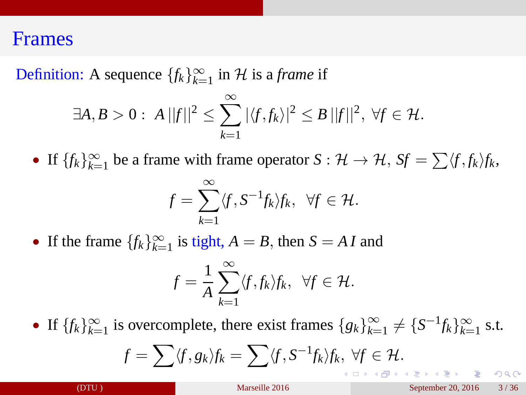#### Frames

Definition: A sequence  $\{f_k\}_{k=1}^{\infty}$  in H is a *frame* if

$$
\exists A,B>0:\ A\ ||f||^2\leq \sum_{k=1}^{\infty}|\langle f,f_k\rangle|^2\leq B\ ||f||^2,\ \forall f\in\mathcal{H}.
$$

• If  $\{f_k\}_{k=1}^{\infty}$  be a frame with frame operator  $S: \mathcal{H} \to \mathcal{H}$ ,  $Sf = \sum \langle f, f_k \rangle f_k$ ,

$$
f = \sum_{k=1}^{\infty} \langle f, S^{-1} f_k \rangle f_k, \ \forall f \in \mathcal{H}.
$$

• If the frame  $\{f_k\}_{k=1}^{\infty}$  is tight,  $A = B$ , then  $S = A I$  and

$$
f = \frac{1}{A} \sum_{k=1}^{\infty} \langle f, f_k \rangle f_k, \ \forall f \in \mathcal{H}.
$$

• If  $\{f_k\}_{k=1}^{\infty}$  is overcomplete, there exist frames  $\{g_k\}_{k=1}^{\infty}$  $\sum_{k=1}^{\infty} \neq \{S^{-1}f_k\}_{k=1}^{\infty}$  s.t.  $f = \sum \langle f, g_k \rangle f_k = \sum \langle f, S^{-1} f_k \rangle f_k, \ \forall f \in \mathcal{H}.$ **K ロ K K 何 K K ヨ K K ヨ K**  $\equiv$   $\cap$  a  $\cap$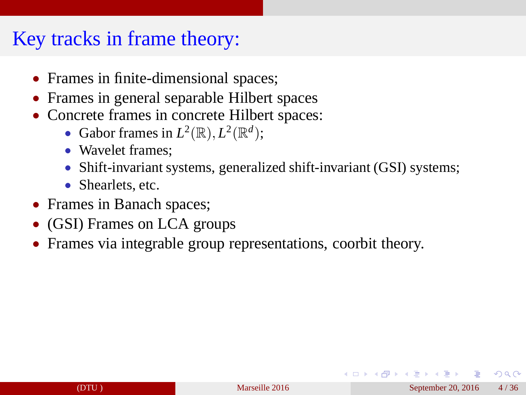#### Key tracks in frame theory:

- Frames in finite-dimensional spaces;
- Frames in general separable Hilbert spaces
- Concrete frames in concrete Hilbert spaces:
	- Gabor frames in  $L^2(\mathbb{R}), L^2(\mathbb{R}^d)$ ;
	- Wavelet frames;
	- Shift-invariant systems, generalized shift-invariant (GSI) systems;
	- Shearlets, etc.
- Frames in Banach spaces;
- (GSI) Frames on LCA groups
- Frames via integrable group representations, coorbit theory.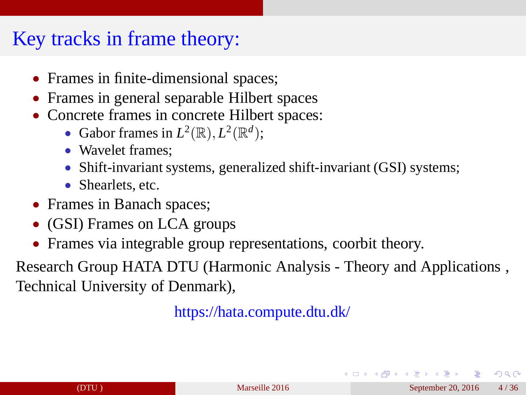#### Key tracks in frame theory:

- Frames in finite-dimensional spaces;
- Frames in general separable Hilbert spaces
- Concrete frames in concrete Hilbert spaces:
	- Gabor frames in  $L^2(\mathbb{R}), L^2(\mathbb{R}^d)$ ;
	- Wavelet frames;
	- Shift-invariant systems, generalized shift-invariant (GSI) systems;
	- Shearlets, etc.
- Frames in Banach spaces;
- (GSI) Frames on LCA groups
- Frames via integrable group representations, coorbit theory.

Research Group HATA DTU (Harmonic Analysis - Theory and Applications , Technical University of Denmark),

https://hata.compute.dtu.dk/

 $\Omega$ 

イロト イ押 トイヨ トイヨト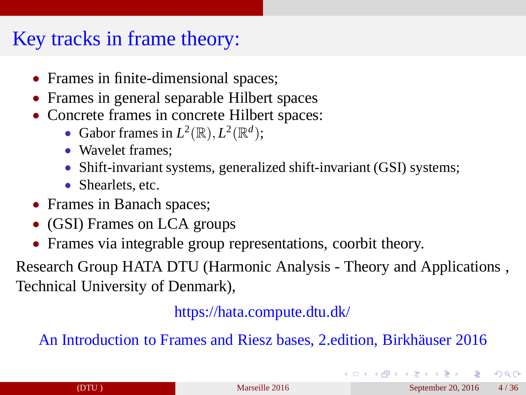#### <span id="page-5-0"></span>Key tracks in frame theory:

- Frames in finite-dimensional spaces;
- Frames in general separable Hilbert spaces
- Concrete frames in concrete Hilbert spaces:
	- Gabor frames in  $L^2(\mathbb{R}), L^2(\mathbb{R}^d)$ ;
	- Wavelet frames:
	- Shift-invariant systems, generalized shift-invariant (GSI) systems;
	- Shearlets, etc.
- Frames in Banach spaces;
- (GSI) Frames on LCA groups
- Frames via integrable group representations, coorbit theory.

Research Group HATA DTU (Harmonic Analysis - Theory and Applications , Technical University of Denmark),

https://hata.compute.dtu.dk/

An Introduction to Frames and Riesz bases, 2. edition, Birkhäuser 2016

 $\Omega$ 

**K ロ K K 何 K K ヨ K K ヨ K**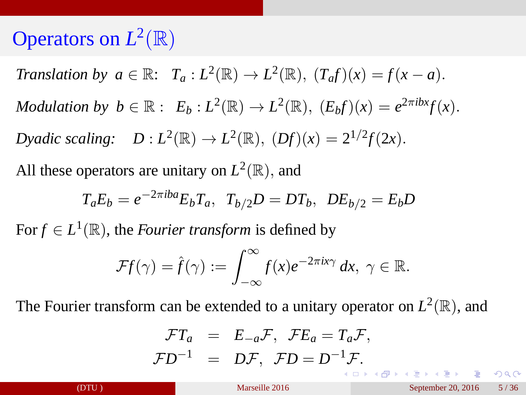# Operators on  $L^2(\mathbb{R})$

*Translation by*  $a \in \mathbb{R}$ *:*  $T_a: L^2(\mathbb{R}) \to L^2(\mathbb{R})$ ,  $(T_a f)(x) = f(x - a)$ . *Modulation by*  $b \in \mathbb{R}$ *:*  $E_b: L^2(\mathbb{R}) \to L^2(\mathbb{R})$ ,  $(E_b f)(x) = e^{2\pi i bx} f(x)$ . *Dyadic scaling:*  $D: L^2(\mathbb{R}) \to L^2(\mathbb{R})$ ,  $(Df)(x) = 2^{1/2}f(2x)$ . All these operators are unitary on  $L^2(\mathbb{R})$ , and

$$
T_a E_b = e^{-2\pi i b a} E_b T_a, \ T_{b/2} D = D T_b, \ DE_{b/2} = E_b D
$$

For  $f \in L^1(\mathbb{R})$ , the *Fourier transform* is defined by

$$
\mathcal{F}f(\gamma) = \hat{f}(\gamma) := \int_{-\infty}^{\infty} f(x)e^{-2\pi ix\gamma} dx, \ \gamma \in \mathbb{R}.
$$

The Fourier transform can be extended to a unitary operator on  $L^2(\mathbb{R})$ , and

$$
\mathcal{F}T_a = E_{-a}\mathcal{F}, \ \mathcal{F}E_a = T_a\mathcal{F},
$$
  
\n
$$
\mathcal{F}D^{-1} = D\mathcal{F}, \ \mathcal{F}D = D^{-1}\mathcal{F}.
$$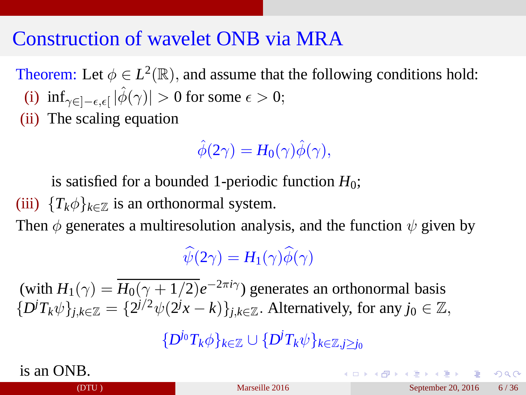#### <span id="page-7-0"></span>Construction of wavelet ONB via MRA

Theorem: Let  $\phi \in L^2(\mathbb{R})$ , and assume that the following conditions hold: (i)  $\inf_{\gamma \in ]-\epsilon,\epsilon[} |\hat{\phi}(\gamma)| > 0$  for some  $\epsilon > 0$ ; (ii) The scaling equation

 $\hat{\phi}(2\gamma) = H_0(\gamma)\hat{\phi}(\gamma),$ 

is satisfied for a bounded 1-periodic function  $H_0$ ;

(iii)  ${T_k \phi}_{k \in \mathbb{Z}}$  is an orthonormal system.

Then  $\phi$  generates a multiresolution analysis, and the function  $\psi$  given by

 $\widehat{\psi}(2\gamma) = H_1(\gamma)\widehat{\phi}(\gamma)$ 

(with  $H_1(\gamma) = \overline{H_0(\gamma + 1/2)} e^{-2\pi i \gamma}$ ) generates an orthonormal basis  $\{D^j T_k \psi\}_{j,k \in \mathbb{Z}} = \{2^{j/2} \psi(2^j x - k)\}_{j,k \in \mathbb{Z}}$ . Alternatively, for any  $j_0 \in \mathbb{Z}$ ,

 ${D^{j_0}T_k\phi}_{k∈\mathbb{Z}}$  ∪  ${D^jT_k\psi}_{k∈\mathbb{Z}, j≥j_0}$ 

is an ONB.

**KOD KAP KED KED E VAN**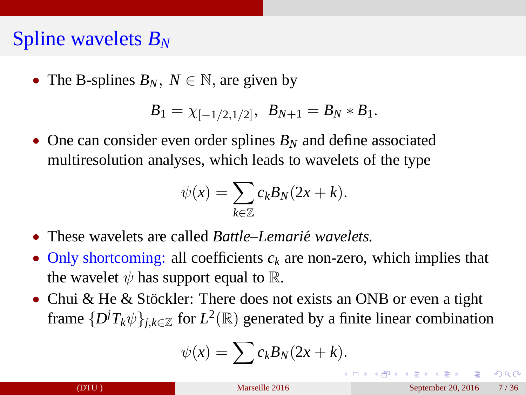#### Spline wavelets *B<sup>N</sup>*

• The B-splines  $B_N$ ,  $N \in \mathbb{N}$ , are given by

$$
B_1=\chi_{[-1/2,1/2]},\ \ B_{N+1}=B_N\ast B_1.
$$

• One can consider even order splines  $B_N$  and define associated multiresolution analyses, which leads to wavelets of the type

$$
\psi(x) = \sum_{k \in \mathbb{Z}} c_k B_N(2x + k).
$$

- These wavelets are called *Battle–Lemarie wavelets. ´*
- Only shortcoming: all coefficients  $c_k$  are non-zero, which implies that the wavelet  $\psi$  has support equal to  $\mathbb{R}$ .
- Chui & He & Stöckler: There does not exists an ONB or even a tight frame  $\{D^jT_k\psi\}_{j,k\in\mathbb{Z}}$  for  $L^2(\mathbb{R})$  generated by a finite linear combination

$$
\psi(x) = \sum c_k B_N(2x + k).
$$

 $209$ 

**≮ロト ⊀何 ト ⊀ ヨ ト ⊀ ヨ**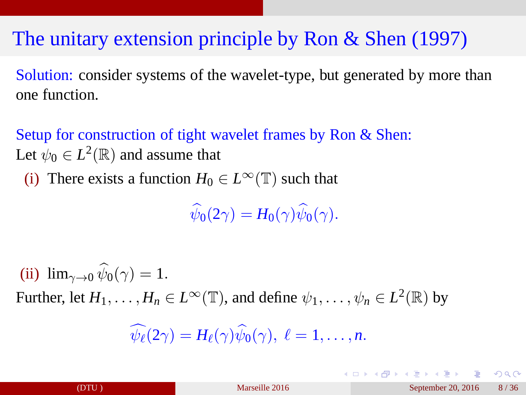#### The unitary extension principle by Ron & Shen (1997)

Solution: consider systems of the wavelet-type, but generated by more than one function.

Setup for construction of tight wavelet frames by Ron & Shen: Let  $\psi_0 \in L^2(\mathbb{R})$  and assume that

(i) There exists a function  $H_0 \n\in L^{\infty}(\mathbb{T})$  such that

 $\psi_0(2\gamma) = H_0(\gamma)\psi_0(\gamma).$ 

(ii)  $\lim_{\gamma \to 0} \psi_0(\gamma) = 1.$ Further, let  $H_1, \ldots, H_n \in L^{\infty}(\mathbb{T})$ , and define  $\psi_1, \ldots, \psi_n \in L^2(\mathbb{R})$  by

$$
\widehat{\psi_{\ell}}(2\gamma) = H_{\ell}(\gamma)\widehat{\psi}_0(\gamma), \ \ell = 1,\ldots,n.
$$

 $\Omega$ 

 $A \equiv \begin{pmatrix} 1 & 0 & 0 \\ 0 & 1 & 0 \\ 0 & 0 & 0 \end{pmatrix} \in A \Rightarrow A \equiv \begin{pmatrix} 1 & 0 & 0 \\ 0 & 1 & 0 \\ 0 & 0 & 0 \end{pmatrix} \in A$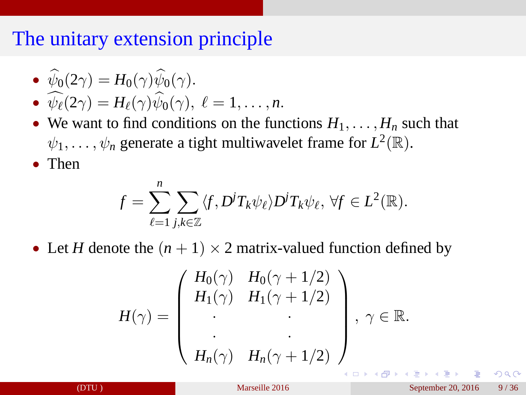#### The unitary extension principle

$$
\bullet\ \ \widehat{\psi}_0(2\gamma)=H_0(\gamma)\widehat{\psi}_0(\gamma).
$$

• 
$$
\widehat{\psi_{\ell}}(2\gamma) = H_{\ell}(\gamma)\widehat{\psi}_0(\gamma), \ \ell = 1,\ldots,n.
$$

• We want to find conditions on the functions  $H_1, \ldots, H_n$  such that  $\psi_1, \ldots, \psi_n$  generate a tight multiwavelet frame for  $L^2(\mathbb{R})$ .

• Then

$$
f = \sum_{\ell=1}^n \sum_{j,k \in \mathbb{Z}} \langle f, D^j T_k \psi_\ell \rangle D^j T_k \psi_\ell, \ \forall f \in L^2(\mathbb{R}).
$$

• Let *H* denote the  $(n + 1) \times 2$  matrix-valued function defined by

$$
H(\gamma) = \begin{pmatrix} H_0(\gamma) & H_0(\gamma + 1/2) \\ H_1(\gamma) & H_1(\gamma + 1/2) \\ \vdots & \vdots \\ H_n(\gamma) & H_n(\gamma + 1/2) \end{pmatrix}, \ \gamma \in \mathbb{R}.
$$

 $\Omega$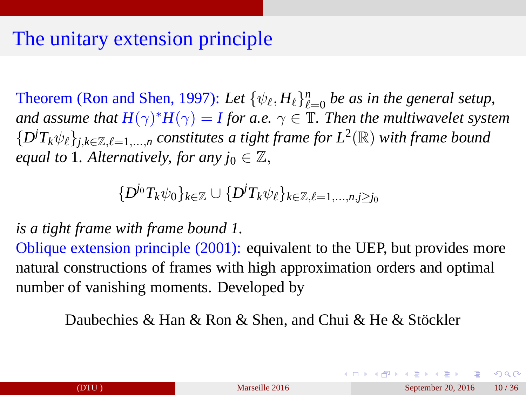#### <span id="page-11-0"></span>The unitary extension principle

Theorem (Ron and Shen, 1997): Let  $\{\psi_{\ell}, H_{\ell}\}_{\ell=0}^n$  be as in the general setup, and assume that  $H(\gamma)^*H(\gamma) = I$  for a.e.  $\gamma \in \mathbb{T}$ . Then the multiwavelet system  $\{D^jT_k\psi_\ell\}_{j,k\in\mathbb{Z},\ell=1,\ldots,n}$  constitutes a tight frame for  $L^2(\mathbb{R})$  with frame bound *equal to* 1*. Alternatively, for any*  $j_0 \in \mathbb{Z}$ *,* 

$$
\{D^{j_0}T_k\psi_0\}_{k\in\mathbb{Z}}\cup\{D^jT_k\psi_\ell\}_{k\in\mathbb{Z},\ell=1,\ldots,n,j\ge j_0}
$$

*is a tight frame with frame bound 1.*

Oblique extension principle (2001): equivalent to the UEP, but provides more natural constructions of frames with high approximation orders and optimal number of vanishing moments. Developed by

Daubechies & Han & Ron & Shen, and Chui & He & Stöckler

 $\Omega$ 

**K ロ ト K 何 ト K ヨ ト K ヨ**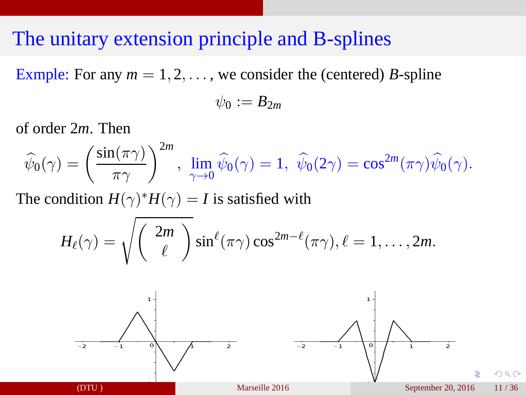#### The unitary extension principle and B-splines

Exmple: For any  $m = 1, 2, \ldots$ , we consider the (centered) *B*-spline

$$
\psi_0:=B_{2m}
$$

of order 2*m*. Then

$$
\widehat{\psi}_0(\gamma) = \left(\frac{\sin(\pi \gamma)}{\pi \gamma}\right)^{2m}, \ \lim_{\gamma \to 0} \widehat{\psi}_0(\gamma) = 1, \ \widehat{\psi}_0(2\gamma) = \cos^{2m}(\pi \gamma) \widehat{\psi}_0(\gamma).
$$

The condition  $H(\gamma)^* H(\gamma) = I$  is satisfied with

$$
H_{\ell}(\gamma)=\sqrt{\left(\begin{array}{c}2m\\ \ell\end{array}\right)}\sin^{\ell}(\pi\gamma)\cos^{2m-\ell}(\pi\gamma), \ell=1,\ldots,2m.
$$

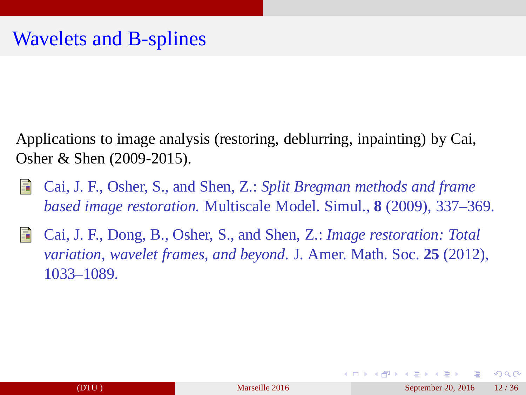<span id="page-13-0"></span>Applications to image analysis (restoring, deblurring, inpainting) by Cai, Osher & Shen (2009-2015).

- Cai, J. F., Osher, S., and Shen, Z.: *Split Bregman methods and frame based image restoration.* Multiscale Model. Simul., **8** (2009), 337–369.
- Cai, J. F., Dong, B., Osher, S., and Shen, Z.: *Image restoration: Total variation, wavelet frames, and beyond.* J. Amer. Math. Soc. **25** (2012), 1033–1089.

 $QQ$ 

イロト イ押 トイヨ トイヨト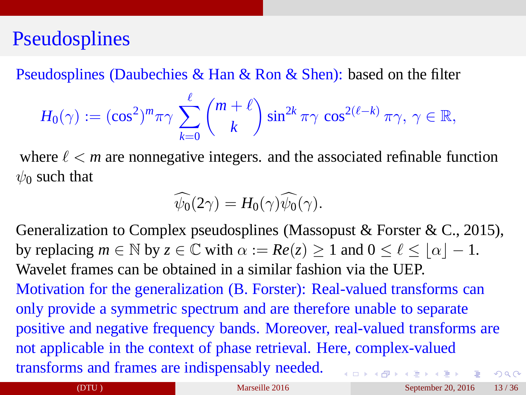#### Pseudosplines

Pseudosplines (Daubechies & Han & Ron & Shen): based on the filter

$$
H_0(\gamma) := (\cos^2)^m \pi \gamma \sum_{k=0}^{\ell} \binom{m+\ell}{k} \sin^{2k} \pi \gamma \cos^{2(\ell-k)} \pi \gamma, \ \gamma \in \mathbb{R},
$$

where  $\ell < m$  are nonnegative integers. and the associated refinable function  $\psi_0$  such that

$$
\widehat{\psi_0}(2\gamma) = H_0(\gamma)\widehat{\psi_0}(\gamma).
$$

Generalization to Complex pseudosplines (Massopust & Forster & C., 2015), by replacing  $m \in \mathbb{N}$  by  $z \in \mathbb{C}$  with  $\alpha := Re(z) \geq 1$  and  $0 \leq \ell \leq |\alpha| - 1$ . Wavelet frames can be obtained in a similar fashion via the UEP.

Motivation for the generalization (B. Forster): Real-valued transforms can only provide a symmetric spectrum and are therefore unable to separate positive and negative frequency bands. Moreover, real-valued transforms are not applicable in the context of phase retrieval. Here, complex-valued transforms and frames are indispensably needed. **I DI KAI KEI KEI DI PIAN**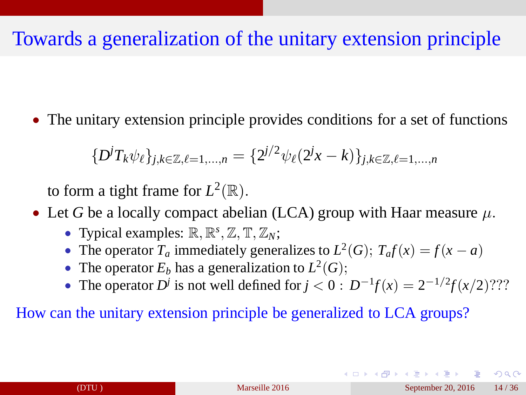• The unitary extension principle provides conditions for a set of functions

$$
\{D^{j}T_{k}\psi_{\ell}\}_{j,k\in\mathbb{Z},\ell=1,...,n}=\{2^{j/2}\psi_{\ell}(2^{j}x-k)\}_{j,k\in\mathbb{Z},\ell=1,...,n}
$$

to form a tight frame for  $L^2(\mathbb{R})$ .

- Let *G* be a locally compact abelian (LCA) group with Haar measure  $\mu$ .
	- Typical examples:  $\mathbb{R}, \mathbb{R}^s, \mathbb{Z}, \mathbb{T}, \mathbb{Z}_N$ ;
	- The operator  $T_a$  immediately generalizes to  $L^2(G)$ ;  $T_a f(x) = f(x a)$
	- The operator  $E_b$  has a generalization to  $L^2(G)$ ;
	- The operator *D*<sup>*j*</sup> is not well defined for  $j < 0$  :  $D^{-1}f(x) = 2^{-1/2}f(x/2)$ ???

How can the unitary extension principle be generalized to LCA groups?

 $\Omega$ 

す口をす 個々す 差をす 差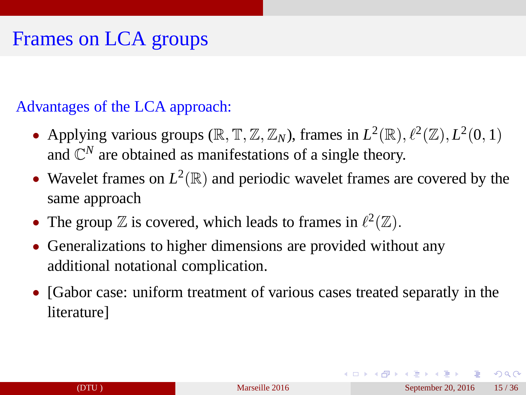## Frames on LCA groups

#### Advantages of the LCA approach:

- Applying various groups  $(\mathbb{R}, \mathbb{T}, \mathbb{Z}, \mathbb{Z}_N)$ , frames in  $L^2(\mathbb{R}), \ell^2(\mathbb{Z}), L^2(0, 1)$ and  $\mathbb{C}^N$  are obtained as manifestations of a single theory.
- Wavelet frames on  $L^2(\mathbb{R})$  and periodic wavelet frames are covered by the same approach
- The group  $\mathbb Z$  is covered, which leads to frames in  $\ell^2(\mathbb Z)$ .
- Generalizations to higher dimensions are provided without any additional notational complication.
- [Gabor case: uniform treatment of various cases treated separatly in the literature]

 $\equiv$   $\cap$  a  $\cap$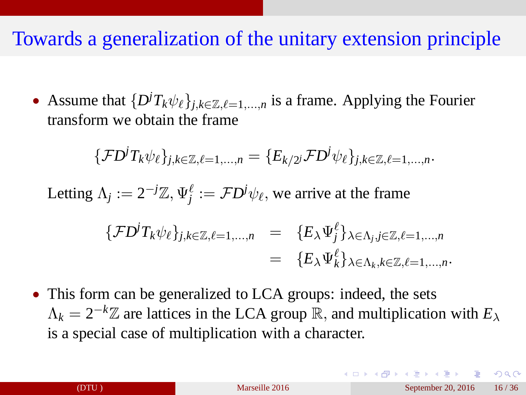• Assume that  $\{D^jT_k\psi_\ell\}_{j,k\in\mathbb{Z},\ell=1,\ldots,n}$  is a frame. Applying the Fourier transform we obtain the frame

$$
\{\mathcal{F}D^{j}T_{k}\psi_{\ell}\}_{j,k\in\mathbb{Z},\ell=1,\ldots,n}=\{E_{k/2j}\mathcal{F}D^{j}\psi_{\ell}\}_{j,k\in\mathbb{Z},\ell=1,\ldots,n}.
$$

Letting  $\Lambda_j := 2^{-j}\mathbb{Z}, \Psi_j^{\ell} := \mathcal{F}D^j\psi_{\ell}$ , we arrive at the frame

$$
\begin{array}{rcl}\n\{\mathcal{F}D^jT_k\psi_\ell\}_{j,k\in\mathbb{Z},\ell=1,\ldots,n} & = & \{E_\lambda\Psi_j^\ell\}_{\lambda\in\Lambda_j,j\in\mathbb{Z},\ell=1,\ldots,n} \\
& = & \{E_\lambda\Psi_k^\ell\}_{\lambda\in\Lambda_k,k\in\mathbb{Z},\ell=1,\ldots,n}.\n\end{array}
$$

• This form can be generalized to LCA groups: indeed, the sets  $\Lambda_k = 2^{-k} \mathbb{Z}$  are lattices in the LCA group  $\mathbb{R}$ , and multiplication with  $E_{\lambda}$ is a special case of multiplication with a character.

**KORK EXTERN EL MAG**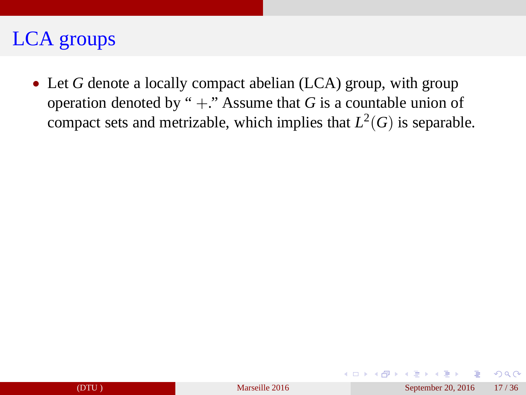• Let *G* denote a locally compact abelian (LCA) group, with group operation denoted by " $+$ ." Assume that *G* is a countable union of compact sets and metrizable, which implies that  $L^2(G)$  is separable.

 $2990$ 

K ロ K K 伊 K K ヨ K K ヨ K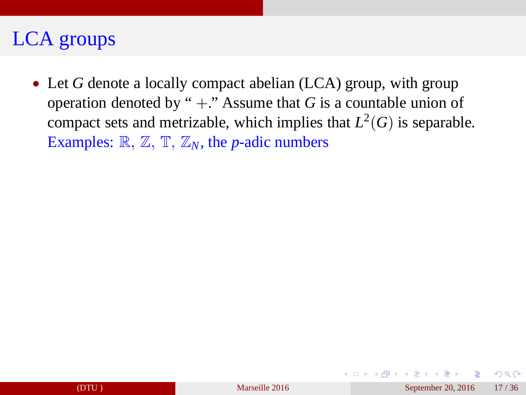• Let *G* denote a locally compact abelian (LCA) group, with group operation denoted by " $+$ ." Assume that *G* is a countable union of compact sets and metrizable, which implies that  $L^2(G)$  is separable. Examples:  $\mathbb{R}, \mathbb{Z}, \mathbb{T}, \mathbb{Z}_N$ , the *p*-adic numbers

 $QQ$ 

K ロ K K 個 K K 差 K K 差 K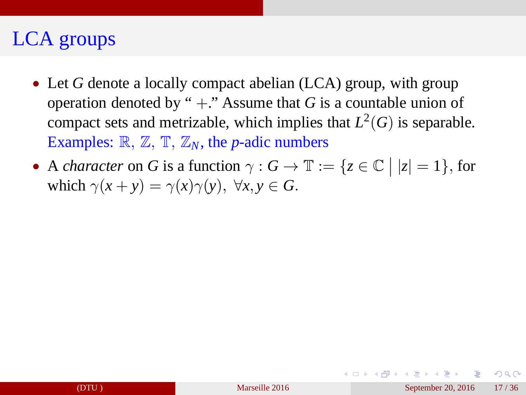- Let *G* denote a locally compact abelian (LCA) group, with group operation denoted by " $+$ ." Assume that *G* is a countable union of compact sets and metrizable, which implies that  $L^2(G)$  is separable. Examples:  $\mathbb{R}, \mathbb{Z}, \mathbb{T}, \mathbb{Z}_N$ , the *p*-adic numbers
- A *character* on *G* is a function  $\gamma : G \to \mathbb{T} := \{z \in \mathbb{C} \mid |z| = 1\}$ , for which  $\gamma(x + y) = \gamma(x)\gamma(y)$ ,  $\forall x, y \in G$ .

 $\Omega$ 

イロト イ押ト イヨト イヨト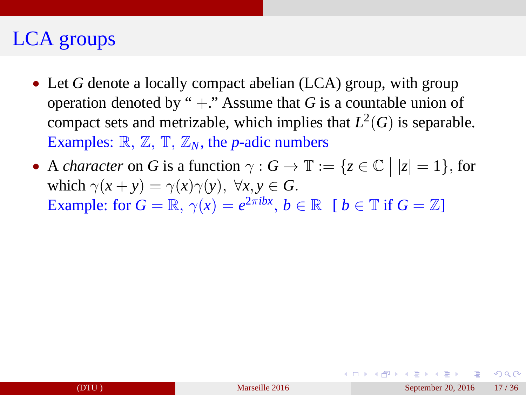- Let *G* denote a locally compact abelian (LCA) group, with group operation denoted by " $+$ ." Assume that *G* is a countable union of compact sets and metrizable, which implies that  $L^2(G)$  is separable. Examples:  $\mathbb{R}, \mathbb{Z}, \mathbb{T}, \mathbb{Z}_N$ , the *p*-adic numbers
- A *character* on *G* is a function  $\gamma : G \to \mathbb{T} := \{z \in \mathbb{C} \mid |z| = 1\}$ , for which  $\gamma(x + y) = \gamma(x)\gamma(y)$ ,  $\forall x, y \in G$ . Example: for  $G = \mathbb{R}, \gamma(x) = e^{2\pi ibx}, b \in \mathbb{R} \quad [b \in \mathbb{T} \text{ if } G = \mathbb{Z}]$

**KOD KAP KED KED E VAN**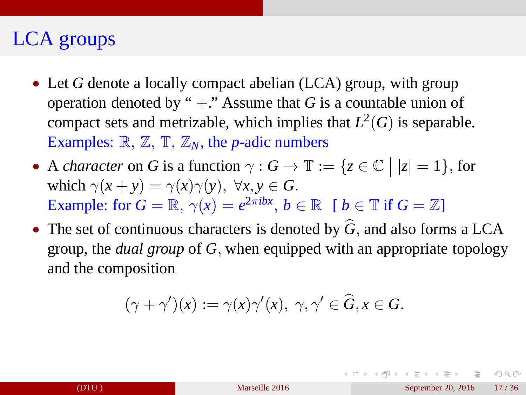- Let *G* denote a locally compact abelian (LCA) group, with group operation denoted by " $+$ ." Assume that *G* is a countable union of compact sets and metrizable, which implies that  $L^2(G)$  is separable. Examples:  $\mathbb{R}, \mathbb{Z}, \mathbb{T}, \mathbb{Z}_N$ , the *p*-adic numbers
- A *character* on *G* is a function  $\gamma : G \to \mathbb{T} := \{z \in \mathbb{C} \mid |z| = 1\}$ , for which  $\gamma(x + y) = \gamma(x)\gamma(y)$ ,  $\forall x, y \in G$ . Example: for  $G = \mathbb{R}, \gamma(x) = e^{2\pi ibx}, b \in \mathbb{R} \quad [b \in \mathbb{T} \text{ if } G = \mathbb{Z}]$
- The set of continuous characters is denoted by  $\hat{G}$ , and also forms a LCA group, the *dual group* of *G*, when equipped with an appropriate topology and the composition

$$
(\gamma + \gamma')(x) := \gamma(x)\gamma'(x), \ \gamma, \gamma' \in \widehat{G}, x \in G.
$$

- 3

 $\Omega$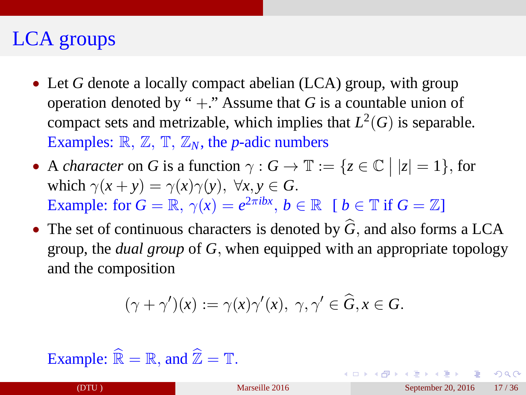- <span id="page-23-0"></span>• Let *G* denote a locally compact abelian (LCA) group, with group operation denoted by " $+$ ." Assume that *G* is a countable union of compact sets and metrizable, which implies that  $L^2(G)$  is separable. Examples:  $\mathbb{R}, \mathbb{Z}, \mathbb{T}, \mathbb{Z}_N$ , the *p*-adic numbers
- A *character* on *G* is a function  $\gamma : G \to \mathbb{T} := \{z \in \mathbb{C} \mid |z| = 1\}$ , for which  $\gamma(x + y) = \gamma(x)\gamma(y)$ ,  $\forall x, y \in G$ . Example: for  $G = \mathbb{R}, \gamma(x) = e^{2\pi ibx}, b \in \mathbb{R} \quad [b \in \mathbb{T} \text{ if } G = \mathbb{Z}]$
- The set of continuous characters is denoted by  $\hat{G}$ , and also forms a LCA group, the *dual group* of *G*, when equipped with an appropriate topology and the composition

$$
(\gamma + \gamma')(x) := \gamma(x)\gamma'(x), \ \gamma, \gamma' \in \widehat{G}, x \in G.
$$

Example:  $\widehat{\mathbb{R}} = \mathbb{R}$ , and  $\widehat{\mathbb{Z}} = \mathbb{T}$ .

 $\Omega$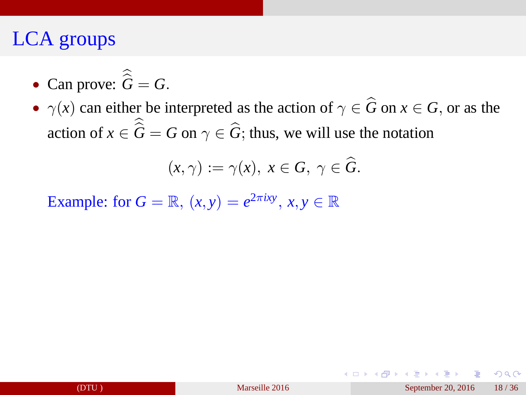<span id="page-24-0"></span>• Can prove:  $\hat{\hat{G}} = G$ .

•  $\gamma(x)$  can either be interpreted as the action of  $\gamma \in \hat{G}$  on  $x \in G$ , or as the action of  $x \in G = G$  on  $\gamma \in G$ ; thus, we will use the notation

$$
(x,\gamma) := \gamma(x), \ x \in G, \ \gamma \in \widehat{G}.
$$

Example: for  $G = \mathbb{R}$ ,  $(x, y) = e^{2\pi ixy}$ ,  $x, y \in \mathbb{R}$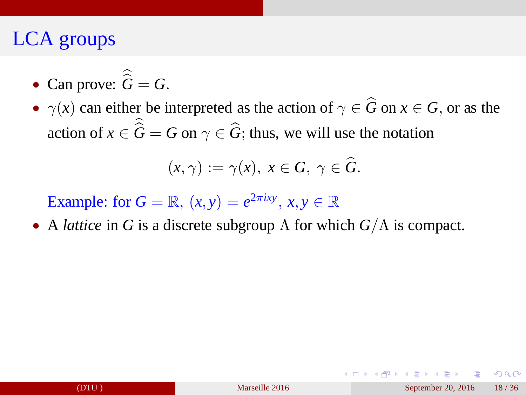• Can prove:  $\hat{\hat{G}} = G$ .

•  $\gamma(x)$  can either be interpreted as the action of  $\gamma \in \widehat{G}$  on  $x \in G$ , or as the action of  $x \in G = G$  on  $\gamma \in G$ ; thus, we will use the notation

$$
(x,\gamma) := \gamma(x), \ x \in G, \ \gamma \in \widehat{G}.
$$

Example: for  $G = \mathbb{R}$ ,  $(x, y) = e^{2\pi ixy}$ ,  $x, y \in \mathbb{R}$ 

• A *lattice* in *G* is a discrete subgroup Λ for which *G*/Λ is compact.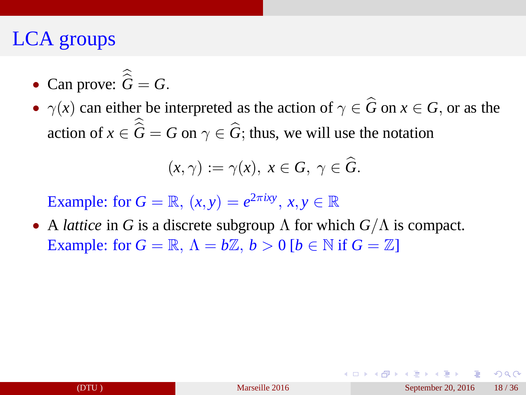• Can prove:  $\hat{\hat{G}} = G$ .

•  $\gamma(x)$  can either be interpreted as the action of  $\gamma \in \widehat{G}$  on  $x \in G$ , or as the action of  $x \in G = G$  on  $\gamma \in G$ ; thus, we will use the notation

$$
(x,\gamma) := \gamma(x), \ x \in G, \ \gamma \in \widehat{G}.
$$

Example: for  $G = \mathbb{R}$ ,  $(x, y) = e^{2\pi ixy}$ ,  $x, y \in \mathbb{R}$ 

• A *lattice* in *G* is a discrete subgroup  $\Lambda$  for which  $G/\Lambda$  is compact. Example: for  $G = \mathbb{R}, \Lambda = b\mathbb{Z}, b > 0$  [ $b \in \mathbb{N}$  if  $G = \mathbb{Z}$ ]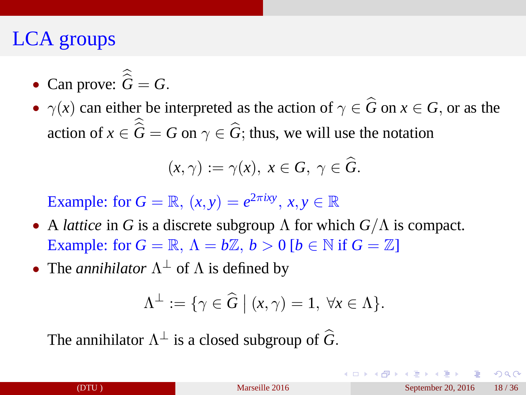<span id="page-27-0"></span>• Can prove:  $\hat{\hat{G}} = G$ .

•  $\gamma(x)$  can either be interpreted as the action of  $\gamma \in \widehat{G}$  on  $x \in G$ , or as the action of  $x \in G = G$  on  $\gamma \in G$ ; thus, we will use the notation

$$
(x,\gamma) := \gamma(x), \ x \in G, \ \gamma \in \widehat{G}.
$$

Example: for  $G = \mathbb{R}$ ,  $(x, y) = e^{2\pi ixy}$ ,  $x, y \in \mathbb{R}$ 

- A *lattice* in *G* is a discrete subgroup  $\Lambda$  for which  $G/\Lambda$  is compact. Example: for  $G = \mathbb{R}, \Lambda = b\mathbb{Z}, b > 0$  [ $b \in \mathbb{N}$  if  $G = \mathbb{Z}$ ]
- The *annihilator*  $\Lambda^{\perp}$  of  $\Lambda$  is defined by

$$
\Lambda^{\perp} := \{ \gamma \in \widehat{G} \mid (x, \gamma) = 1, \ \forall x \in \Lambda \}.
$$

The annihilator  $\Lambda^{\perp}$  is a closed subgroup of  $\widehat{G}$ .

 $QQQ$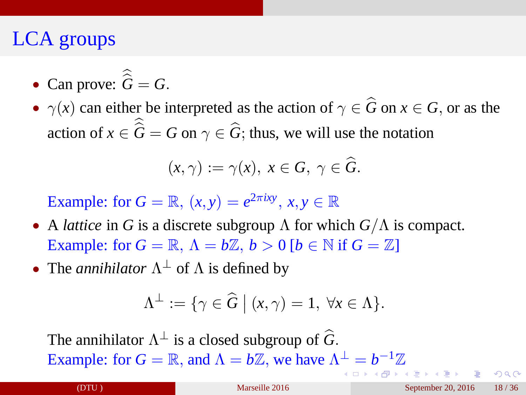• Can prove:  $\hat{\hat{G}} = G$ .

•  $\gamma(x)$  can either be interpreted as the action of  $\gamma \in \widehat{G}$  on  $x \in G$ , or as the action of  $x \in G = G$  on  $\gamma \in G$ ; thus, we will use the notation

$$
(x,\gamma) := \gamma(x), \ x \in G, \ \gamma \in \widehat{G}.
$$

Example: for  $G = \mathbb{R}$ ,  $(x, y) = e^{2\pi ixy}$ ,  $x, y \in \mathbb{R}$ 

- A *lattice* in *G* is a discrete subgroup Λ for which *G*/Λ is compact. Example: for  $G = \mathbb{R}, \Lambda = b\mathbb{Z}, b > 0$  [ $b \in \mathbb{N}$  if  $G = \mathbb{Z}$ ]
- The *annihilator*  $\Lambda^{\perp}$  of  $\Lambda$  is defined by

$$
\Lambda^{\perp} := \{ \gamma \in \widehat{G} \mid (x, \gamma) = 1, \ \forall x \in \Lambda \}.
$$

The annihilator  $\Lambda^{\perp}$  is a closed subgroup of  $\widehat{G}$ . Example: for  $G = \mathbb{R}$  $G = \mathbb{R}$  $G = \mathbb{R}$  $G = \mathbb{R}$  $G = \mathbb{R}$ , and  $\Lambda = b\mathbb{Z}$ , we have  $\Lambda^{\perp} = b^{-1}\mathbb{Z}$ 

 $\Omega$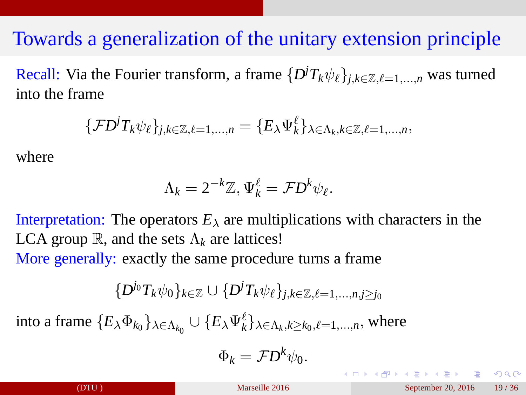<span id="page-29-0"></span>Recall: Via the Fourier transform, a frame  $\{D^jT_k\psi_\ell\}_{j,k\in\mathbb{Z},\ell=1,\ldots,n}$  was turned into the frame

$$
\{\mathcal{F}D^{j}T_{k}\psi_{\ell}\}_{j,k\in\mathbb{Z},\ell=1,\ldots,n}=\{E_{\lambda}\Psi_{k}^{\ell}\}_{\lambda\in\Lambda_{k},k\in\mathbb{Z},\ell=1,\ldots,n},
$$

where

$$
\Lambda_k = 2^{-k}\mathbb{Z}, \Psi_k^{\ell} = \mathcal{F}D^k\psi_{\ell}.
$$

Interpretation: The operators  $E_{\lambda}$  are multiplications with characters in the LCA group  $\mathbb{R}$ , and the sets  $\Lambda_k$  are lattices!

More generally: exactly the same procedure turns a frame

$$
\{D^{j_0}T_k\psi_0\}_{k\in\mathbb{Z}}\cup\{D^jT_k\psi_\ell\}_{j,k\in\mathbb{Z},\ell=1,\ldots,n,j\ge j_0}
$$

into a frame  $\{E_{\lambda}\Phi_{k_0}\}_{\lambda \in \Lambda_{k_0}} \cup \{E_{\lambda}\Psi_k^{\ell}\}_{\lambda \in \Lambda_k, k \geq k_0, \ell = 1, ..., n}$ , where

$$
\Phi_k = \mathcal{F}D^k\psi_0.
$$

 $\Omega$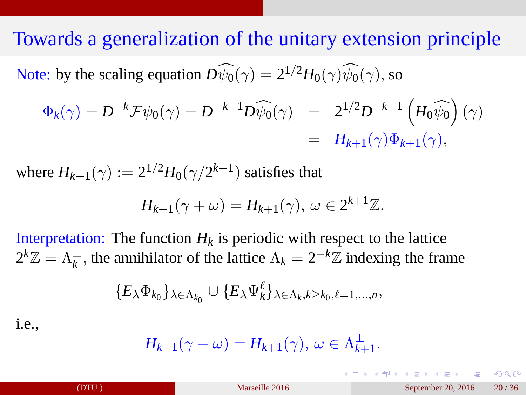Note: by the scaling equation  $D\psi_0(\gamma) = 2^{1/2}H_0(\gamma)\psi_0(\gamma)$ , so

$$
\Phi_k(\gamma) = D^{-k} \mathcal{F} \psi_0(\gamma) = D^{-k-1} D \widehat{\psi_0}(\gamma) = 2^{1/2} D^{-k-1} \left( H_0 \widehat{\psi_0} \right)(\gamma)
$$
  
=  $H_{k+1}(\gamma) \Phi_{k+1}(\gamma),$ 

where  $H_{k+1}(\gamma) := 2^{1/2} H_0(\gamma/2^{k+1})$  satisfies that

$$
H_{k+1}(\gamma+\omega)=H_{k+1}(\gamma),\,\omega\in 2^{k+1}\mathbb{Z}.
$$

Interpretation: The function  $H_k$  is periodic with respect to the lattice  $2^k \mathbb{Z} = \Lambda_k^{\perp}$ , the annihilator of the lattice  $\Lambda_k = 2^{-k} \mathbb{Z}$  indexing the frame

$$
\{E_{\lambda}\Phi_{k_0}\}_{\lambda\in\Lambda_{k_0}}\cup\{E_{\lambda}\Psi_{k}^{\ell}\}_{\lambda\in\Lambda_k,k\geq k_0,\ell=1,\ldots,n},
$$

i.e.,

$$
H_{k+1}(\gamma+\omega)=H_{k+1}(\gamma),\,\omega\in\Lambda_{k+1}^{\perp}.
$$

 $\Omega$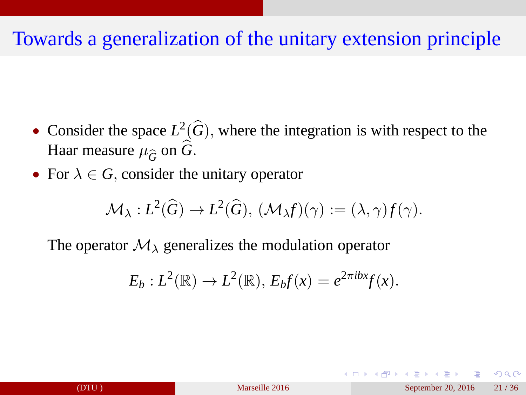- Consider the space  $L^2(\widehat{G})$ , where the integration is with respect to the Haar measure  $\mu_{\widehat{G}}$  on *G*.
- For  $\lambda \in G$ , consider the unitary operator

$$
\mathcal{M}_{\lambda}: L^{2}(\widehat{G}) \to L^{2}(\widehat{G}), \, (\mathcal{M}_{\lambda}f)(\gamma) := (\lambda, \gamma) f(\gamma).
$$

The operator  $\mathcal{M}_{\lambda}$  generalizes the modulation operator

$$
E_b: L^2(\mathbb{R}) \to L^2(\mathbb{R}), E_b f(x) = e^{2\pi i bx} f(x).
$$

 $QQQ$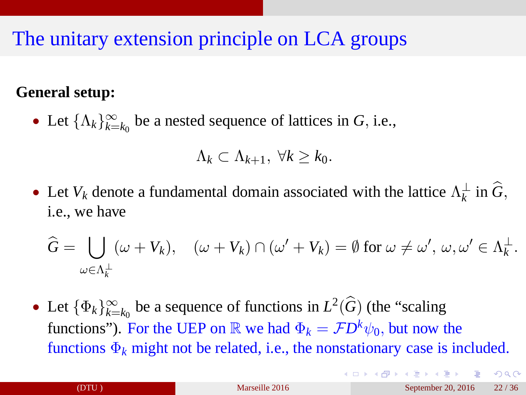**General setup:**

• Let  $\{\Lambda_k\}_{k=k_0}^{\infty}$  be a nested sequence of lattices in *G*, i.e.,

$$
\Lambda_k\subset \Lambda_{k+1},\ \forall k\geq k_0.
$$

• Let  $V_k$  denote a fundamental domain associated with the lattice  $\Lambda_k^{\perp}$  in  $\widehat{G}_k$ , i.e., we have

$$
\widehat{G} = \bigcup_{\omega \in \Lambda_k^{\perp}} (\omega + V_k), \quad (\omega + V_k) \cap (\omega' + V_k) = \emptyset \text{ for } \omega \neq \omega', \, \omega, \omega' \in \Lambda_k^{\perp}.
$$

• Let  $\{\Phi_k\}_{k=k_0}^{\infty}$  be a sequence of functions in  $L^2(\widehat{G})$  (the "scaling functions"). For the UEP on  $\mathbb R$  we had  $\Phi_k = \mathcal{F}D^k\psi_0$ , but now the functions  $\Phi_k$  might not be related, i.e., the nonstationary case is included.

 $209$ 

**K ロ ト K 何 ト K ヨ ト K**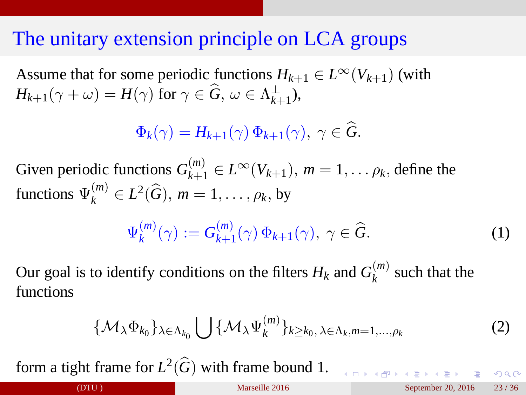Assume that for some periodic functions  $H_{k+1} \in L^{\infty}(V_{k+1})$  (with  $H_{k+1}(\gamma+\omega)=H(\gamma) \text{ for } \gamma\in \widehat{G}, \ \omega\in \Lambda_{k+1}^{\perp}$ ),

 $\Phi_k(\gamma) = H_{k+1}(\gamma) \Phi_{k+1}(\gamma), \ \gamma \in \widehat{G}.$ 

Given periodic functions  $G_{k+1}^{(m)} \in L^{\infty}(V_{k+1}), m = 1, \ldots, \rho_k$ , define the functions  $\Psi_k^{(m)} \in L^2(\widehat{G}), m = 1, \ldots, \rho_k$ , by

$$
\Psi_k^{(m)}(\gamma) := G_{k+1}^{(m)}(\gamma) \, \Phi_{k+1}(\gamma), \ \gamma \in \widehat{G}.\tag{1}
$$

Our goal is to identify conditions on the filters  $H_k$  and  $G_k^{(m)}$  $k^{(m)}$  such that the functions

$$
\{\mathcal{M}_{\lambda}\Phi_{k_0}\}_{\lambda\in\Lambda_{k_0}}\bigcup\{\mathcal{M}_{\lambda}\Psi_k^{(m)}\}_{k\geq k_0,\,\lambda\in\Lambda_k,m=1,\dots,\rho_k}
$$
 (2)

form a tight frame for  $L^2(\widehat{G})$  with frame bound 1.

KID KA KERKER E VOLO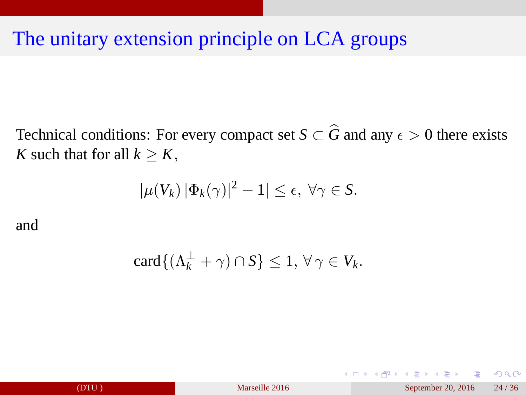Technical conditions: For every compact set *S*  $\subset \widehat{G}$  and any  $\epsilon > 0$  there exists *K* such that for all  $k \geq K$ ,

$$
|\mu(V_k)|\Phi_k(\gamma)|^2-1|\leq \epsilon, \,\forall \gamma\in S.
$$

and

$$
\operatorname{card}\{(\Lambda_k^{\perp} + \gamma) \cap S\} \le 1, \,\forall \,\gamma \in V_k.
$$

 $QQ$ 

**K ロ ト K 何 ト K ヨ ト K**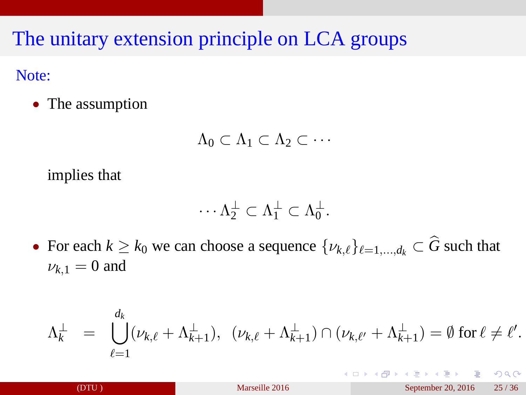Note:

• The assumption

 $\Lambda_0 \subset \Lambda_1 \subset \Lambda_2 \subset \cdots$ 

implies that

$$
\cdots \Lambda_2^{\perp} \subset \Lambda_1^{\perp} \subset \Lambda_0^{\perp}.
$$

• For each  $k \geq k_0$  we can choose a sequence  $\{\nu_{k,\ell}\}_{\ell=1,\dots,d_k} \subset \widehat{G}$  such that  $\nu_{k,1} = 0$  and

$$
\Lambda_k^{\perp} = \bigcup_{\ell=1}^{d_k} (\nu_{k,\ell} + \Lambda_{k+1}^{\perp}), \ (\nu_{k,\ell} + \Lambda_{k+1}^{\perp}) \cap (\nu_{k,\ell'} + \Lambda_{k+1}^{\perp}) = \emptyset \text{ for } \ell \neq \ell'.
$$

 $\Omega$ 

イロト イ何 トイヨ トイヨ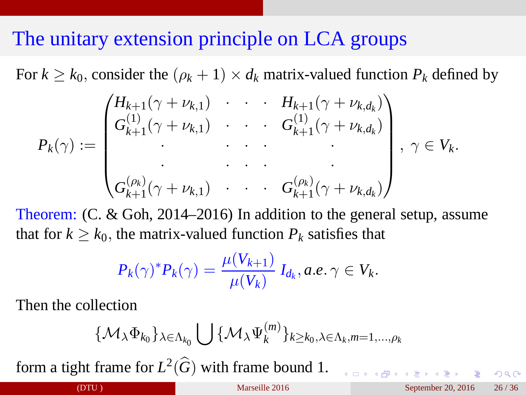For  $k \geq k_0$ , consider the  $(\rho_k + 1) \times d_k$  matrix-valued function  $P_k$  defined by

$$
P_k(\gamma) := \begin{pmatrix} H_{k+1}(\gamma + \nu_{k,1}) & \cdots & H_{k+1}(\gamma + \nu_{k,d_k}) \\ G_{k+1}^{(1)}(\gamma + \nu_{k,1}) & \cdots & G_{k+1}^{(1)}(\gamma + \nu_{k,d_k}) \\ \vdots & \vdots & \ddots & \vdots \\ G_{k+1}^{(\rho_k)}(\gamma + \nu_{k,1}) & \cdots & G_{k+1}^{(\rho_k)}(\gamma + \nu_{k,d_k}) \end{pmatrix}, \ \gamma \in V_k.
$$

Theorem: (C. & Goh, 2014–2016) In addition to the general setup, assume that for  $k > k_0$ , the matrix-valued function  $P_k$  satisfies that

$$
P_k(\gamma)^* P_k(\gamma) = \frac{\mu(V_{k+1})}{\mu(V_k)} I_{d_k}, a.e. \gamma \in V_k.
$$

Then the collection

$$
\{\mathcal{M}_{\lambda}\Phi_{k_0}\}_{\lambda\in\Lambda_{k_0}}\bigcup\{\mathcal{M}_{\lambda}\Psi_k^{(m)}\}_{k\geq k_0,\lambda\in\Lambda_k,m=1,\dots,\rho_k}
$$

form a tight frame for  $L^2(\widehat{G})$  with frame bound 1.

 $= 990$ 

**K ロ ト K 個 ト K ミ ト K ミ ト**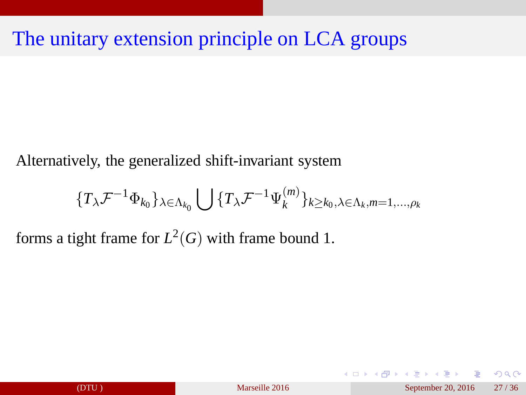Alternatively, the generalized shift-invariant system

$$
\{T_{\lambda}\mathcal{F}^{-1}\Phi_{k_0}\}_{\lambda\in\Lambda_{k_0}}\bigcup\{T_{\lambda}\mathcal{F}^{-1}\Psi_k^{(m)}\}_{k\geq k_0,\lambda\in\Lambda_k,m=1,\dots,\rho_k}
$$

forms a tight frame for  $L^2(G)$  with frame bound 1.

 $\Omega$ 

**K ロ ト K 何 ト K ヨ ト K**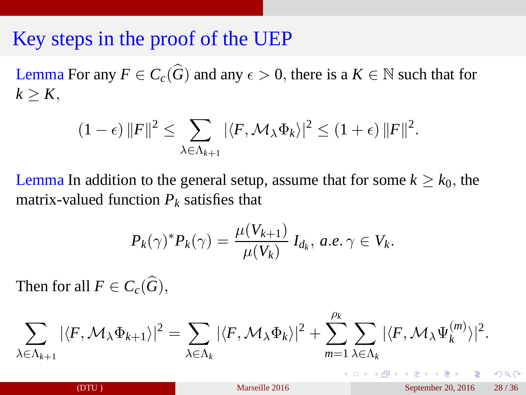#### Key steps in the proof of the UEP

Lemma For any  $F \in C_c(\widehat{G})$  and any  $\epsilon > 0$ , there is a  $K \in \mathbb{N}$  such that for  $k > K$ ,

$$
(1-\epsilon)\|F\|^2 \leq \sum_{\lambda \in \Lambda_{k+1}} |\langle F, \mathcal{M}_{\lambda} \Phi_k \rangle|^2 \leq (1+\epsilon)\|F\|^2.
$$

Lemma In addition to the general setup, assume that for some  $k \geq k_0$ , the matrix-valued function  $P_k$  satisfies that

$$
P_k(\gamma)^* P_k(\gamma) = \frac{\mu(V_{k+1})}{\mu(V_k)} I_{d_k}, \, a.e. \, \gamma \in V_k.
$$

Then for all  $F \in C_c(\widehat{G})$ ,

$$
\sum_{\lambda \in \Lambda_{k+1}} |\langle F, \mathcal{M}_{\lambda} \Phi_{k+1} \rangle|^2 = \sum_{\lambda \in \Lambda_k} |\langle F, \mathcal{M}_{\lambda} \Phi_k \rangle|^2 + \sum_{m=1}^{\rho_k} \sum_{\lambda \in \Lambda_k} |\langle F, \mathcal{M}_{\lambda} \Psi_k^{(m)} \rangle|^2.
$$

 $Q \cap R$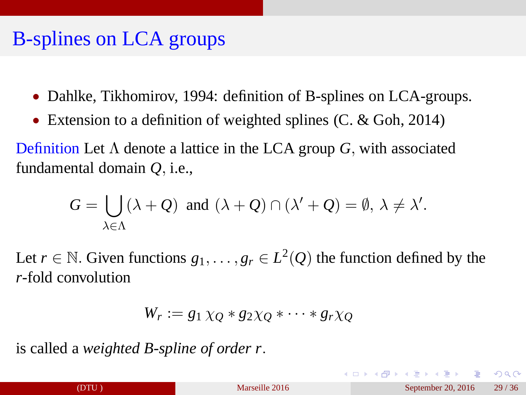#### B-splines on LCA groups

- Dahlke, Tikhomirov, 1994: definition of B-splines on LCA-groups.
- Extension to a definition of weighted splines (C. & Goh, 2014)

Definition Let Λ denote a lattice in the LCA group *G*, with associated fundamental domain *Q*, i.e.,

$$
G = \bigcup_{\lambda \in \Lambda} (\lambda + Q) \text{ and } (\lambda + Q) \cap (\lambda' + Q) = \emptyset, \ \lambda \neq \lambda'.
$$

Let  $r \in \mathbb{N}$ . Given functions  $g_1, \ldots, g_r \in L^2(Q)$  the function defined by the *r*-fold convolution

$$
W_r := g_1 \chi_Q * g_2 \chi_Q * \cdots * g_r \chi_Q
$$

is called a *weighted B-spline of order r*.

 $\Omega$ 

イロト イ何 トイヨ トイヨ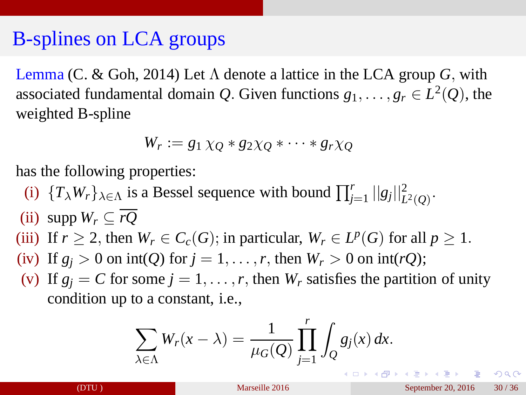#### B-splines on LCA groups

Lemma (C. & Goh, 2014) Let  $\Lambda$  denote a lattice in the LCA group *G*, with associated fundamental domain *Q*. Given functions  $g_1, \ldots, g_r \in L^2(Q)$ , the weighted B-spline

$$
W_r := g_1 \chi_Q * g_2 \chi_Q * \cdots * g_r \chi_Q
$$

has the following properties:

(i)  $\{T_\lambda W_r\}_{\lambda \in \Lambda}$  is a Bessel sequence with bound  $\prod_{j=1}^r ||g_j||_{L^2(Q)}^2$ .

(ii) supp  $W_r \subset \overline{rQ}$ 

- (iii) If  $r \geq 2$ , then  $W_r \in C_c(G)$ ; in particular,  $W_r \in L^p(G)$  for all  $p \geq 1$ .
- (iv) If  $g_i > 0$  on  $\text{int}(Q)$  for  $j = 1, \ldots, r$ , then  $W_r > 0$  on  $\text{int}(rQ)$ ;
- (v) If  $g_j = C$  for some  $j = 1, \ldots, r$ , then  $W_r$  satisfies the partition of unity condition up to a constant, i.e.,

$$
\sum_{\lambda \in \Lambda} W_r(x - \lambda) = \frac{1}{\mu_G(Q)} \prod_{j=1}^r \int_Q g_j(x) dx.
$$

 $\equiv$   $\cap$   $\alpha$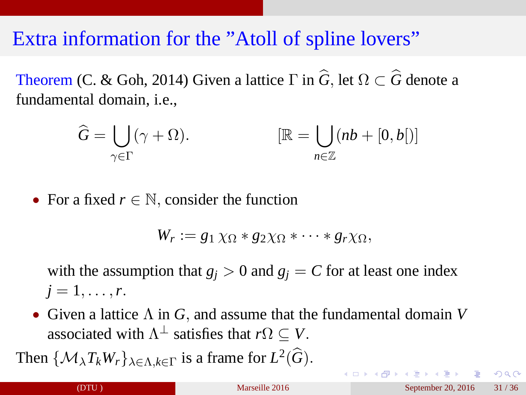#### Extra information for the "Atoll of spline lovers"

Theorem (C. & Goh, 2014) Given a lattice  $\Gamma$  in  $\hat{G}$ , let  $\Omega \subset \hat{G}$  denote a fundamental domain, i.e.,

$$
\widehat{G} = \bigcup_{\gamma \in \Gamma} (\gamma + \Omega). \qquad [\mathbb{R} = \bigcup_{n \in \mathbb{Z}} (nb + [0, b])]
$$

• For a fixed  $r \in \mathbb{N}$ , consider the function

$$
W_r := g_1 \chi_{\Omega} * g_2 \chi_{\Omega} * \cdots * g_r \chi_{\Omega},
$$

with the assumption that  $g_i > 0$  and  $g_j = C$  for at least one index  $j = 1, \ldots, r$ .

• Given a lattice Λ in *G*, and assume that the fundamental domain *V* associated with  $\Lambda^{\perp}$  satisfies that  $r\Omega \subseteq V$ .

Then  $\{M_{\lambda}T_{k}W_{r}\}_{\lambda \in \Lambda, k \in \Gamma}$  is a frame for  $L^{2}(\widehat{G})$ .

 $\Omega$ 

**K ロ ト K 何 ト K ヨ ト K**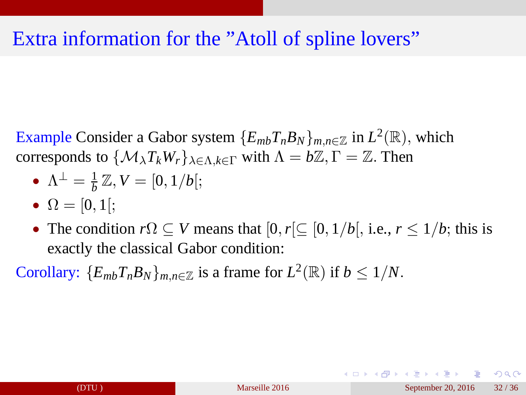#### Extra information for the "Atoll of spline lovers"

Example Consider a Gabor system  ${E_{mb}T_nB_N}_{m,n\in\mathbb{Z}}$  in  $L^2(\mathbb{R})$ , which corresponds to  $\{\mathcal{M}_{\lambda}T_{k}W_{r}\}_{\lambda \in \Lambda}$  *k*∈Γ with  $\Lambda = b\mathbb{Z}, \Gamma = \mathbb{Z}$ . Then

• 
$$
\Lambda^{\perp} = \frac{1}{b} \mathbb{Z}, V = [0, 1/b];
$$

- $\Omega = [0, 1];$
- The condition  $r\Omega \subseteq V$  means that  $[0, r] \subseteq [0, 1/b]$ , i.e.,  $r \leq 1/b$ ; this is exactly the classical Gabor condition:

Corollary:  $\{E_{mb}T_nB_N\}_{m,n\in\mathbb{Z}}$  is a frame for  $L^2(\mathbb{R})$  if  $b \leq 1/N$ .

 $\equiv$   $\cap$  Q  $\cap$ 

イロト イ押ト イヨト イヨト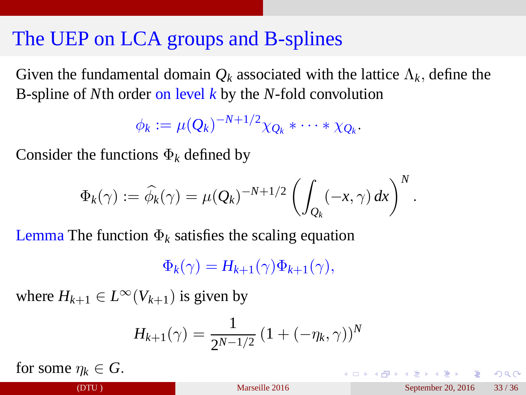#### <span id="page-43-0"></span>The UEP on LCA groups and B-splines

Given the fundamental domain  $Q_k$  associated with the lattice  $\Lambda_k$ , define the B-spline of *N*th order on level *k* by the *N*-fold convolution

$$
\phi_k := \mu(Q_k)^{-N+1/2} \chi_{Q_k} * \cdots * \chi_{Q_k}.
$$

Consider the functions  $\Phi_k$  defined by

$$
\Phi_k(\gamma) := \widehat{\phi_k}(\gamma) = \mu(Q_k)^{-N+1/2} \left( \int_{Q_k} (-x, \gamma) \, dx \right)^N.
$$

Lemma The function  $\Phi_k$  satisfies the scaling equation

 $\Phi_k(\gamma) = H_{k+1}(\gamma)\Phi_{k+1}(\gamma),$ 

where  $H_{k+1} \in L^{\infty}(V_{k+1})$  is given by

$$
H_{k+1}(\gamma) = \frac{1}{2^{N-1/2}} \left( 1 + (-\eta_k, \gamma) \right)^N
$$

for some  $n_k \in G$ .

 $\equiv$   $\cap$  a  $\cap$ 

 $\left\{ \begin{array}{ccc} 1 & 0 & 0 \\ 0 & 1 & 0 \end{array} \right.$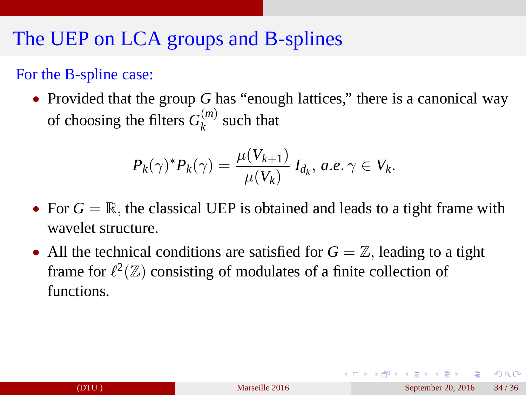#### <span id="page-44-0"></span>The UEP on LCA groups and B-splines

#### For the B-spline case:

• Provided that the group *G* has "enough lattices," there is a canonical way of choosing the filters  $G_k^{(m)}$  $k^{(m)}$  such that

$$
P_k(\gamma)^* P_k(\gamma) = \frac{\mu(V_{k+1})}{\mu(V_k)} I_{d_k}, \, a.e. \, \gamma \in V_k.
$$

- For  $G = \mathbb{R}$ , the classical UEP is obtained and leads to a tight frame with wavelet structure.
- All the technical conditions are satisfied for  $G = \mathbb{Z}$ , leading to a tight frame for  $\ell^2(\mathbb{Z})$  consisting of modulates of a finite collection of functions.

 $\Omega$ 

K ロ K K 伊 K K ヨ K K ヨ K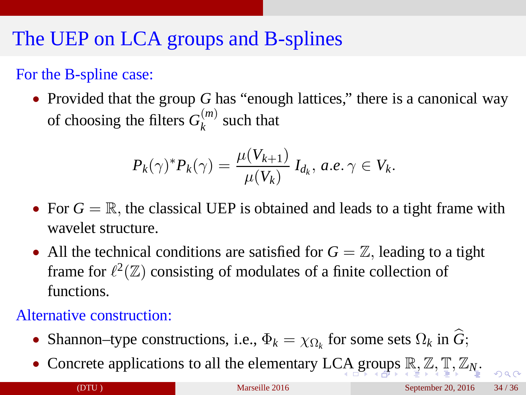### <span id="page-45-0"></span>The UEP on LCA groups and B-splines

#### For the B-spline case:

• Provided that the group *G* has "enough lattices," there is a canonical way of choosing the filters  $G_k^{(m)}$  $k^{(m)}$  such that

$$
P_k(\gamma)^* P_k(\gamma) = \frac{\mu(V_{k+1})}{\mu(V_k)} I_{d_k}, \, a.e. \, \gamma \in V_k.
$$

- For  $G = \mathbb{R}$ , the classical UEP is obtained and leads to a tight frame with wavelet structure.
- All the technical conditions are satisfied for  $G = \mathbb{Z}$ , leading to a tight frame for  $\ell^2(\mathbb{Z})$  consisting of modulates of a finite collection of functions.

#### Alternative construction:

- Shannon–type constructions, i.e.,  $\Phi_k = \chi_{\Omega_k}$  for some sets  $\Omega_k$  in *G*;
- Concrete applications to all the elementary L[CA](#page-44-0) [gr](#page-46-0)[o](#page-43-0)[u](#page-44-0)[p](#page-45-0)[s](#page-46-0)  $\mathbb{R}, \mathbb{Z}, \mathbb{T}, \mathbb{Z}_N$  $\mathbb{R}, \mathbb{Z}, \mathbb{T}, \mathbb{Z}_N$  $\mathbb{R}, \mathbb{Z}, \mathbb{T}, \mathbb{Z}_N$  $\mathbb{R}, \mathbb{Z}, \mathbb{T}, \mathbb{Z}_N$  $\mathbb{R}, \mathbb{Z}, \mathbb{T}, \mathbb{Z}_N$  $\mathbb{R}, \mathbb{Z}, \mathbb{T}, \mathbb{Z}_N$  $\mathbb{R}, \mathbb{Z}, \mathbb{T}, \mathbb{Z}_N$  $\mathbb{R}, \mathbb{Z}, \mathbb{T}, \mathbb{Z}_N$  $\mathbb{R}, \mathbb{Z}, \mathbb{T}, \mathbb{Z}_N$  $\mathbb{R}, \mathbb{Z}, \mathbb{T}, \mathbb{Z}_N$ [.](#page-47-0)

 $\Omega$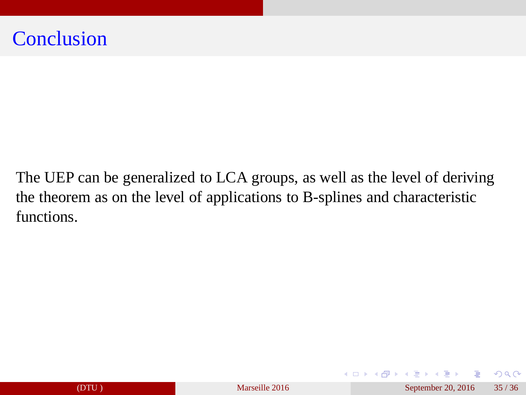#### <span id="page-46-0"></span>**Conclusion**

The UEP can be generalized to LCA groups, as well as the level of deriving the theorem as on the level of applications to B-splines and characteristic functions.

目

 $QQ$ 

 $\left\{ \begin{array}{ccc} 1 & 0 & 0 \\ 0 & 1 & 0 \end{array} \right.$